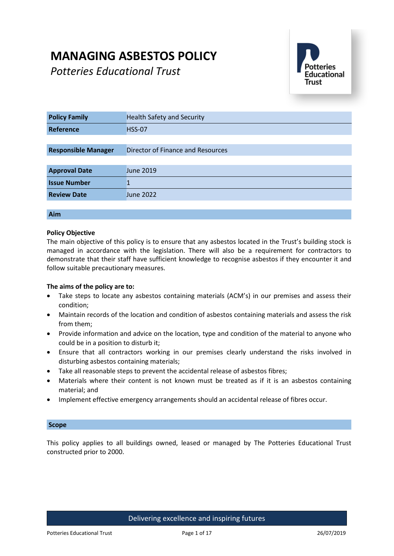# **MANAGING ASBESTOS POLICY**

*Potteries Educational Trust*



| <b>Policy Family</b>       | <b>Health Safety and Security</b> |
|----------------------------|-----------------------------------|
| Reference                  | <b>HSS-07</b>                     |
|                            |                                   |
| <b>Responsible Manager</b> | Director of Finance and Resources |
|                            |                                   |
| <b>Approval Date</b>       | <b>June 2019</b>                  |
| <b>Issue Number</b>        |                                   |
| <b>Review Date</b>         | <b>June 2022</b>                  |
|                            |                                   |

## **Aim**

## **Policy Objective**

The main objective of this policy is to ensure that any asbestos located in the Trust's building stock is managed in accordance with the legislation. There will also be a requirement for contractors to demonstrate that their staff have sufficient knowledge to recognise asbestos if they encounter it and follow suitable precautionary measures.

## **The aims of the policy are to:**

- Take steps to locate any asbestos containing materials (ACM's) in our premises and assess their condition;
- Maintain records of the location and condition of asbestos containing materials and assess the risk from them;
- Provide information and advice on the location, type and condition of the material to anyone who could be in a position to disturb it;
- Ensure that all contractors working in our premises clearly understand the risks involved in disturbing asbestos containing materials;
- Take all reasonable steps to prevent the accidental release of asbestos fibres;
- Materials where their content is not known must be treated as if it is an asbestos containing material; and
- Implement effective emergency arrangements should an accidental release of fibres occur.

## **Scope**

This policy applies to all buildings owned, leased or managed by The Potteries Educational Trust constructed prior to 2000.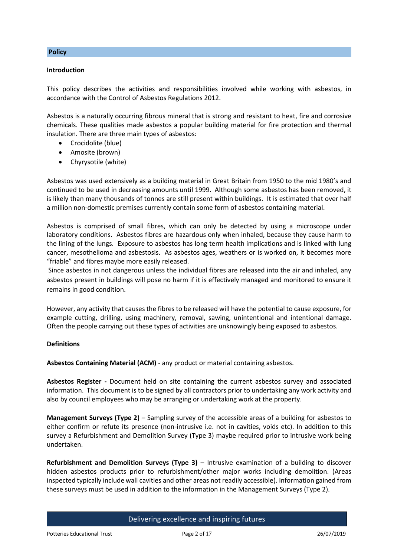#### **Introduction**

This policy describes the activities and responsibilities involved while working with asbestos, in accordance with the Control of Asbestos Regulations 2012.

Asbestos is a naturally occurring fibrous mineral that is strong and resistant to heat, fire and corrosive chemicals. These qualities made asbestos a popular building material for fire protection and thermal insulation. There are three main types of asbestos:

- Crocidolite (blue)
- Amosite (brown)
- Chyrysotile (white)

Asbestos was used extensively as a building material in Great Britain from 1950 to the mid 1980's and continued to be used in decreasing amounts until 1999. Although some asbestos has been removed, it is likely than many thousands of tonnes are still present within buildings. It is estimated that over half a million non-domestic premises currently contain some form of asbestos containing material.

Asbestos is comprised of small fibres, which can only be detected by using a microscope under laboratory conditions. Asbestos fibres are hazardous only when inhaled, because they cause harm to the lining of the lungs. Exposure to asbestos has long term health implications and is linked with lung cancer, mesothelioma and asbestosis. As asbestos ages, weathers or is worked on, it becomes more "friable" and fibres maybe more easily released.

Since asbestos in not dangerous unless the individual fibres are released into the air and inhaled, any asbestos present in buildings will pose no harm if it is effectively managed and monitored to ensure it remains in good condition.

However, any activity that causes the fibres to be released will have the potential to cause exposure, for example cutting, drilling, using machinery, removal, sawing, unintentional and intentional damage. Often the people carrying out these types of activities are unknowingly being exposed to asbestos.

#### **Definitions**

**Asbestos Containing Material (ACM)** - any product or material containing asbestos.

**Asbestos Register -** Document held on site containing the current asbestos survey and associated information. This document is to be signed by all contractors prior to undertaking any work activity and also by council employees who may be arranging or undertaking work at the property.

**Management Surveys (Type 2)** – Sampling survey of the accessible areas of a building for asbestos to either confirm or refute its presence (non-intrusive i.e. not in cavities, voids etc). In addition to this survey a Refurbishment and Demolition Survey (Type 3) maybe required prior to intrusive work being undertaken.

**Refurbishment and Demolition Surveys (Type 3)** – Intrusive examination of a building to discover hidden asbestos products prior to refurbishment/other major works including demolition. (Areas inspected typically include wall cavities and other areas not readily accessible). Information gained from these surveys must be used in addition to the information in the Management Surveys (Type 2).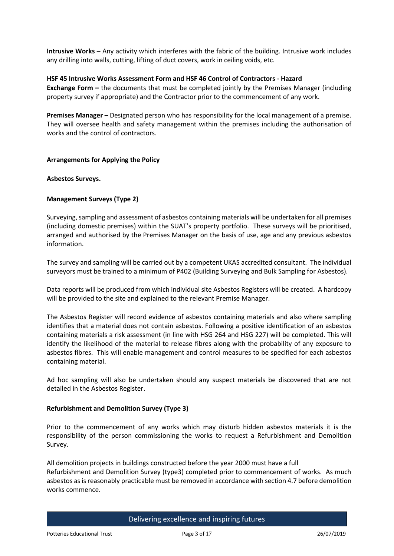**Intrusive Works –** Any activity which interferes with the fabric of the building. Intrusive work includes any drilling into walls, cutting, lifting of duct covers, work in ceiling voids, etc.

## **HSF 45 Intrusive Works Assessment Form and HSF 46 Control of Contractors - Hazard**

**Exchange Form** *–* the documents that must be completed jointly by the Premises Manager (including property survey if appropriate) and the Contractor prior to the commencement of any work.

**Premises Manager** – Designated person who has responsibility for the local management of a premise. They will oversee health and safety management within the premises including the authorisation of works and the control of contractors.

## **Arrangements for Applying the Policy**

## **Asbestos Surveys.**

## **Management Surveys (Type 2)**

Surveying, sampling and assessment of asbestos containing materials will be undertaken for all premises (including domestic premises) within the SUAT's property portfolio. These surveys will be prioritised, arranged and authorised by the Premises Manager on the basis of use, age and any previous asbestos information.

The survey and sampling will be carried out by a competent UKAS accredited consultant. The individual surveyors must be trained to a minimum of P402 (Building Surveying and Bulk Sampling for Asbestos).

Data reports will be produced from which individual site Asbestos Registers will be created. A hardcopy will be provided to the site and explained to the relevant Premise Manager.

The Asbestos Register will record evidence of asbestos containing materials and also where sampling identifies that a material does not contain asbestos. Following a positive identification of an asbestos containing materials a risk assessment (in line with HSG 264 and HSG 227) will be completed. This will identify the likelihood of the material to release fibres along with the probability of any exposure to asbestos fibres. This will enable management and control measures to be specified for each asbestos containing material.

Ad hoc sampling will also be undertaken should any suspect materials be discovered that are not detailed in the Asbestos Register.

## **Refurbishment and Demolition Survey (Type 3)**

Prior to the commencement of any works which may disturb hidden asbestos materials it is the responsibility of the person commissioning the works to request a Refurbishment and Demolition Survey.

All demolition projects in buildings constructed before the year 2000 must have a full Refurbishment and Demolition Survey (type3) completed prior to commencement of works. As much asbestos as is reasonably practicable must be removed in accordance with section 4.7 before demolition works commence.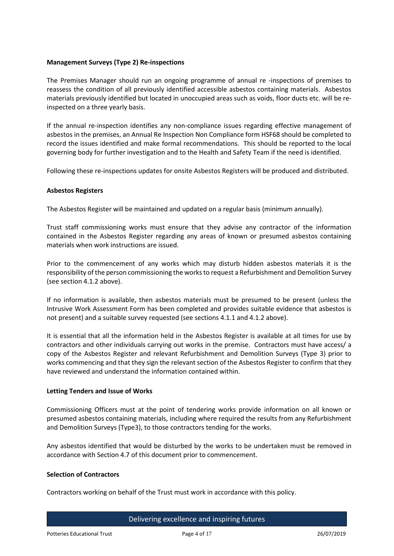## **Management Surveys (Type 2) Re-inspections**

The Premises Manager should run an ongoing programme of annual re -inspections of premises to reassess the condition of all previously identified accessible asbestos containing materials. Asbestos materials previously identified but located in unoccupied areas such as voids, floor ducts etc. will be reinspected on a three yearly basis.

If the annual re-inspection identifies any non-compliance issues regarding effective management of asbestos in the premises, an Annual Re Inspection Non Compliance form HSF68 should be completed to record the issues identified and make formal recommendations. This should be reported to the local governing body for further investigation and to the Health and Safety Team if the need is identified.

Following these re-inspections updates for onsite Asbestos Registers will be produced and distributed.

## **Asbestos Registers**

The Asbestos Register will be maintained and updated on a regular basis (minimum annually).

Trust staff commissioning works must ensure that they advise any contractor of the information contained in the Asbestos Register regarding any areas of known or presumed asbestos containing materials when work instructions are issued.

Prior to the commencement of any works which may disturb hidden asbestos materials it is the responsibility of the person commissioning the works to request a Refurbishment and Demolition Survey (see section 4.1.2 above).

If no information is available, then asbestos materials must be presumed to be present (unless the Intrusive Work Assessment Form has been completed and provides suitable evidence that asbestos is not present) and a suitable survey requested (see sections 4.1.1 and 4.1.2 above).

It is essential that all the information held in the Asbestos Register is available at all times for use by contractors and other individuals carrying out works in the premise. Contractors must have access/ a copy of the Asbestos Register and relevant Refurbishment and Demolition Surveys (Type 3) prior to works commencing and that they sign the relevant section of the Asbestos Register to confirm that they have reviewed and understand the information contained within.

## **Letting Tenders and Issue of Works**

Commissioning Officers must at the point of tendering works provide information on all known or presumed asbestos containing materials, including where required the results from any Refurbishment and Demolition Surveys (Type3), to those contractors tending for the works.

Any asbestos identified that would be disturbed by the works to be undertaken must be removed in accordance with Section 4.7 of this document prior to commencement.

## **Selection of Contractors**

Contractors working on behalf of the Trust must work in accordance with this policy.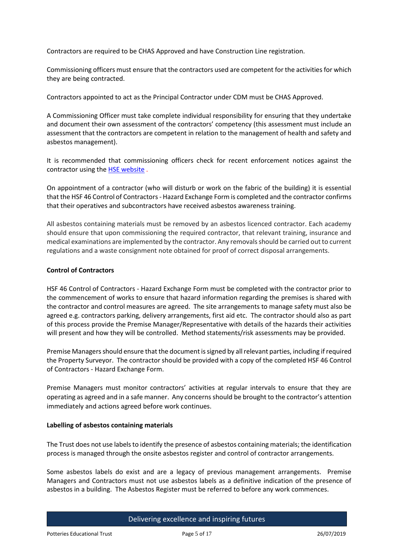Contractors are required to be CHAS Approved and have Construction Line registration.

Commissioning officers must ensure that the contractors used are competent for the activities for which they are being contracted.

Contractors appointed to act as the Principal Contractor under CDM must be CHAS Approved.

A Commissioning Officer must take complete individual responsibility for ensuring that they undertake and document their own assessment of the contractors' competency (this assessment must include an assessment that the contractors are competent in relation to the management of health and safety and asbestos management).

It is recommended that commissioning officers check for recent enforcement notices against the contractor using th[e HSE website](http://www.hse.gov.uk/notices/default.asp) .

On appointment of a contractor (who will disturb or work on the fabric of the building) it is essential that the HSF 46 Control of Contractors - Hazard Exchange Form is completed and the contractor confirms that their operatives and subcontractors have received asbestos awareness training.

All asbestos containing materials must be removed by an asbestos licenced contractor. Each academy should ensure that upon commissioning the required contractor, that relevant training, insurance and medical examinations are implemented by the contractor. Any removals should be carried out to current regulations and a waste consignment note obtained for proof of correct disposal arrangements.

## **Control of Contractors**

HSF 46 Control of Contractors - Hazard Exchange Form must be completed with the contractor prior to the commencement of works to ensure that hazard information regarding the premises is shared with the contractor and control measures are agreed. The site arrangements to manage safety must also be agreed e.g. contractors parking, delivery arrangements, first aid etc. The contractor should also as part of this process provide the Premise Manager/Representative with details of the hazards their activities will present and how they will be controlled. Method statements/risk assessments may be provided.

Premise Managers should ensure that the document is signed by all relevant parties, including if required the Property Surveyor. The contractor should be provided with a copy of the completed HSF 46 Control of Contractors - Hazard Exchange Form.

Premise Managers must monitor contractors' activities at regular intervals to ensure that they are operating as agreed and in a safe manner. Any concerns should be brought to the contractor's attention immediately and actions agreed before work continues.

## **Labelling of asbestos containing materials**

The Trust does not use labels to identify the presence of asbestos containing materials; the identification process is managed through the onsite asbestos register and control of contractor arrangements.

Some asbestos labels do exist and are a legacy of previous management arrangements. Premise Managers and Contractors must not use asbestos labels as a definitive indication of the presence of asbestos in a building. The Asbestos Register must be referred to before any work commences.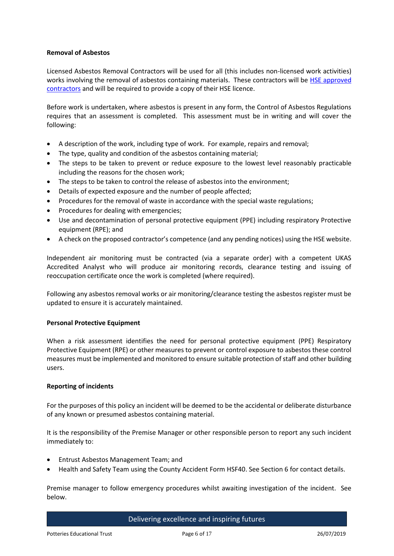## **Removal of Asbestos**

Licensed Asbestos Removal Contractors will be used for all (this includes non-licensed work activities) works involving the removal of asbestos containing materials. These contractors will be HSE approved [contractors](http://webcommunities.hse.gov.uk/inovem/inovem.ti/group/asbestos.licensing/viewdatastore?dsid=196) [a](http://webcommunities.hse.gov.uk/inovem/inovem.ti/group/asbestos.licensing/viewdatastore?dsid=196)nd will be required to provide a copy of their HSE licence.

Before work is undertaken, where asbestos is present in any form, the Control of Asbestos Regulations requires that an assessment is completed. This assessment must be in writing and will cover the following:

- A description of the work, including type of work. For example, repairs and removal;
- The type, quality and condition of the asbestos containing material;
- The steps to be taken to prevent or reduce exposure to the lowest level reasonably practicable including the reasons for the chosen work;
- The steps to be taken to control the release of asbestos into the environment;
- Details of expected exposure and the number of people affected;
- Procedures for the removal of waste in accordance with the special waste regulations;
- Procedures for dealing with emergencies;
- Use and decontamination of personal protective equipment (PPE) including respiratory Protective equipment (RPE); and
- A check on the proposed contractor's competence (and any pending notices) using the HSE website.

Independent air monitoring must be contracted (via a separate order) with a competent UKAS Accredited Analyst who will produce air monitoring records, clearance testing and issuing of reoccupation certificate once the work is completed (where required).

Following any asbestos removal works or air monitoring/clearance testing the asbestos register must be updated to ensure it is accurately maintained.

## **Personal Protective Equipment**

When a risk assessment identifies the need for personal protective equipment (PPE) Respiratory Protective Equipment (RPE) or other measures to prevent or control exposure to asbestos these control measures must be implemented and monitored to ensure suitable protection of staff and other building users.

## **Reporting of incidents**

For the purposes of this policy an incident will be deemed to be the accidental or deliberate disturbance of any known or presumed asbestos containing material.

It is the responsibility of the Premise Manager or other responsible person to report any such incident immediately to:

- Entrust Asbestos Management Team; and
- Health and Safety Team using the County Accident Form HSF40. See Section 6 for contact details.

Premise manager to follow emergency procedures whilst awaiting investigation of the incident. See below.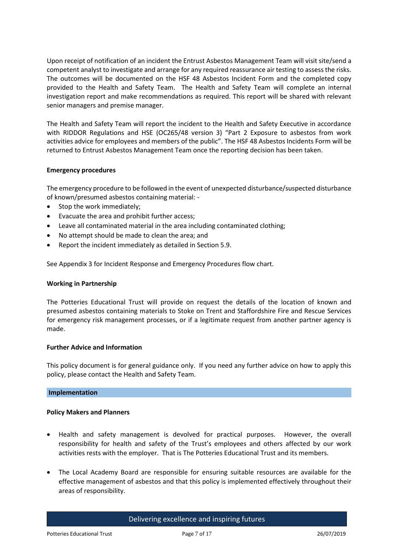Upon receipt of notification of an incident the Entrust Asbestos Management Team will visit site/send a competent analyst to investigate and arrange for any required reassurance air testing to assess the risks. The outcomes will be documented on the HSF 48 Asbestos Incident Form and the completed copy provided to the Health and Safety Team. The Health and Safety Team will complete an internal investigation report and make recommendations as required. This report will be shared with relevant senior managers and premise manager.

The Health and Safety Team will report the incident to the Health and Safety Executive in accordance with RIDDOR Regulations and HSE (OC265/48 version 3) "Part 2 Exposure to asbestos from work activities advice for employees and members of the public". The HSF 48 Asbestos Incidents Form will be returned to Entrust Asbestos Management Team once the reporting decision has been taken.

## **Emergency procedures**

The emergency procedure to be followed in the event of unexpected disturbance/suspected disturbance of known/presumed asbestos containing material: -

- Stop the work immediately;
- Evacuate the area and prohibit further access;
- Leave all contaminated material in the area including contaminated clothing;
- No attempt should be made to clean the area; and
- Report the incident immediately as detailed in Section 5.9.

See Appendix 3 for Incident Response and Emergency Procedures flow chart.

#### **Working in Partnership**

The Potteries Educational Trust will provide on request the details of the location of known and presumed asbestos containing materials to Stoke on Trent and Staffordshire Fire and Rescue Services for emergency risk management processes, or if a legitimate request from another partner agency is made.

#### **Further Advice and Information**

This policy document is for general guidance only. If you need any further advice on how to apply this policy, please contact the Health and Safety Team.

## **Implementation**

## **Policy Makers and Planners**

- Health and safety management is devolved for practical purposes. However, the overall responsibility for health and safety of the Trust's employees and others affected by our work activities rests with the employer. That is The Potteries Educational Trust and its members.
- The Local Academy Board are responsible for ensuring suitable resources are available for the effective management of asbestos and that this policy is implemented effectively throughout their areas of responsibility.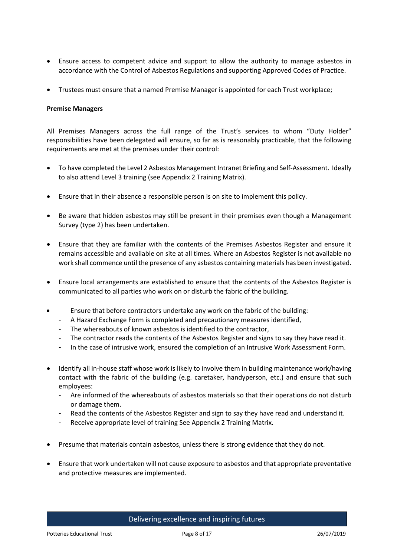- Ensure access to competent advice and support to allow the authority to manage asbestos in accordance with the Control of Asbestos Regulations and supporting Approved Codes of Practice.
- Trustees must ensure that a named Premise Manager is appointed for each Trust workplace;

#### **Premise Managers**

All Premises Managers across the full range of the Trust's services to whom "Duty Holder" responsibilities have been delegated will ensure, so far as is reasonably practicable, that the following requirements are met at the premises under their control:

- To have completed the Level 2 Asbestos Management Intranet Briefing and Self-Assessment. Ideally to also attend Level 3 training (see Appendix 2 Training Matrix).
- Ensure that in their absence a responsible person is on site to implement this policy.
- Be aware that hidden asbestos may still be present in their premises even though a Management Survey (type 2) has been undertaken.
- Ensure that they are familiar with the contents of the Premises Asbestos Register and ensure it remains accessible and available on site at all times. Where an Asbestos Register is not available no work shall commence until the presence of any asbestos containing materials has been investigated.
- Ensure local arrangements are established to ensure that the contents of the Asbestos Register is communicated to all parties who work on or disturb the fabric of the building.
- Ensure that before contractors undertake any work on the fabric of the building:
	- A Hazard Exchange Form is completed and precautionary measures identified,
	- The whereabouts of known asbestos is identified to the contractor,
	- The contractor reads the contents of the Asbestos Register and signs to say they have read it.
	- In the case of intrusive work, ensured the completion of an Intrusive Work Assessment Form.
- Identify all in-house staff whose work is likely to involve them in building maintenance work/having contact with the fabric of the building (e.g. caretaker, handyperson, etc.) and ensure that such employees:
	- Are informed of the whereabouts of asbestos materials so that their operations do not disturb or damage them.
	- Read the contents of the Asbestos Register and sign to say they have read and understand it.
	- Receive appropriate level of training See Appendix 2 Training Matrix.
- Presume that materials contain asbestos, unless there is strong evidence that they do not.
- Ensure that work undertaken will not cause exposure to asbestos and that appropriate preventative and protective measures are implemented.

Delivering excellence and inspiring futures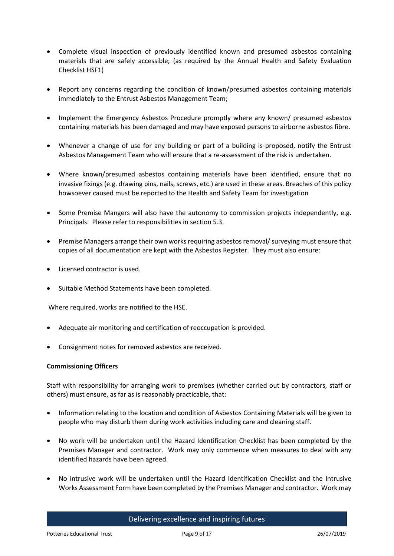- Complete visual inspection of previously identified known and presumed asbestos containing materials that are safely accessible; (as required by the Annual Health and Safety Evaluation Checklist HSF1)
- Report any concerns regarding the condition of known/presumed asbestos containing materials immediately to the Entrust Asbestos Management Team;
- Implement the Emergency Asbestos Procedure promptly where any known/ presumed asbestos containing materials has been damaged and may have exposed persons to airborne asbestos fibre.
- Whenever a change of use for any building or part of a building is proposed, notify the Entrust Asbestos Management Team who will ensure that a re-assessment of the risk is undertaken.
- Where known/presumed asbestos containing materials have been identified, ensure that no invasive fixings (e.g. drawing pins, nails, screws, etc.) are used in these areas. Breaches of this policy howsoever caused must be reported to the Health and Safety Team for investigation
- Some Premise Mangers will also have the autonomy to commission projects independently, e.g. Principals. Please refer to responsibilities in section 5.3.
- Premise Managers arrange their own works requiring asbestos removal/ surveying must ensure that copies of all documentation are kept with the Asbestos Register. They must also ensure:
- Licensed contractor is used.
- Suitable Method Statements have been completed.

Where required, works are notified to the HSE.

- Adequate air monitoring and certification of reoccupation is provided.
- Consignment notes for removed asbestos are received.

## **Commissioning Officers**

Staff with responsibility for arranging work to premises (whether carried out by contractors, staff or others) must ensure, as far as is reasonably practicable, that:

- Information relating to the location and condition of Asbestos Containing Materials will be given to people who may disturb them during work activities including care and cleaning staff.
- No work will be undertaken until the Hazard Identification Checklist has been completed by the Premises Manager and contractor. Work may only commence when measures to deal with any identified hazards have been agreed.
- No intrusive work will be undertaken until the Hazard Identification Checklist and the Intrusive Works Assessment Form have been completed by the Premises Manager and contractor. Work may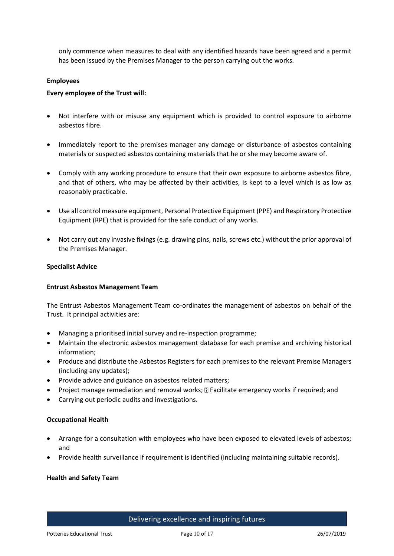only commence when measures to deal with any identified hazards have been agreed and a permit has been issued by the Premises Manager to the person carrying out the works.

#### **Employees**

#### **Every employee of the Trust will:**

- Not interfere with or misuse any equipment which is provided to control exposure to airborne asbestos fibre.
- Immediately report to the premises manager any damage or disturbance of asbestos containing materials or suspected asbestos containing materials that he or she may become aware of.
- Comply with any working procedure to ensure that their own exposure to airborne asbestos fibre, and that of others, who may be affected by their activities, is kept to a level which is as low as reasonably practicable.
- Use all control measure equipment, Personal Protective Equipment (PPE) and Respiratory Protective Equipment (RPE) that is provided for the safe conduct of any works.
- Not carry out any invasive fixings (e.g. drawing pins, nails, screws etc.) without the prior approval of the Premises Manager.

#### **Specialist Advice**

#### **Entrust Asbestos Management Team**

The Entrust Asbestos Management Team co-ordinates the management of asbestos on behalf of the Trust. It principal activities are:

- Managing a prioritised initial survey and re-inspection programme;
- Maintain the electronic asbestos management database for each premise and archiving historical information;
- Produce and distribute the Asbestos Registers for each premises to the relevant Premise Managers (including any updates);
- Provide advice and guidance on asbestos related matters;
- Project manage remediation and removal works; **D** Facilitate emergency works if required; and
- Carrying out periodic audits and investigations.

#### **Occupational Health**

- Arrange for a consultation with employees who have been exposed to elevated levels of asbestos; and
- Provide health surveillance if requirement is identified (including maintaining suitable records).

#### **Health and Safety Team**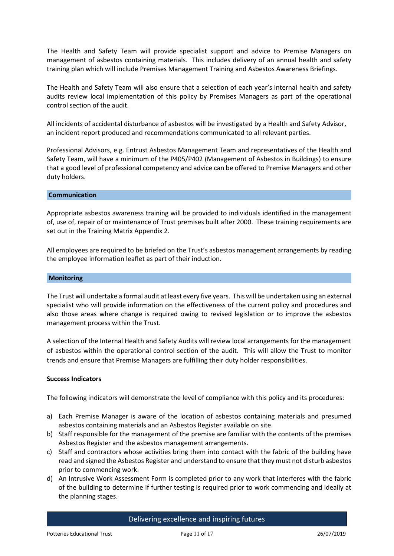The Health and Safety Team will provide specialist support and advice to Premise Managers on management of asbestos containing materials. This includes delivery of an annual health and safety training plan which will include Premises Management Training and Asbestos Awareness Briefings.

The Health and Safety Team will also ensure that a selection of each year's internal health and safety audits review local implementation of this policy by Premises Managers as part of the operational control section of the audit.

All incidents of accidental disturbance of asbestos will be investigated by a Health and Safety Advisor, an incident report produced and recommendations communicated to all relevant parties.

Professional Advisors, e.g. Entrust Asbestos Management Team and representatives of the Health and Safety Team, will have a minimum of the P405/P402 (Management of Asbestos in Buildings) to ensure that a good level of professional competency and advice can be offered to Premise Managers and other duty holders.

#### **Communication**

Appropriate asbestos awareness training will be provided to individuals identified in the management of, use of, repair of or maintenance of Trust premises built after 2000. These training requirements are set out in the Training Matrix Appendix 2.

All employees are required to be briefed on the Trust's asbestos management arrangements by reading the employee information leaflet as part of their induction.

#### **Monitoring**

The Trust will undertake a formal audit at least every five years. This will be undertaken using an external specialist who will provide information on the effectiveness of the current policy and procedures and also those areas where change is required owing to revised legislation or to improve the asbestos management process within the Trust.

A selection of the Internal Health and Safety Audits will review local arrangements for the management of asbestos within the operational control section of the audit. This will allow the Trust to monitor trends and ensure that Premise Managers are fulfilling their duty holder responsibilities.

## **Success Indicators**

The following indicators will demonstrate the level of compliance with this policy and its procedures:

- a) Each Premise Manager is aware of the location of asbestos containing materials and presumed asbestos containing materials and an Asbestos Register available on site.
- b) Staff responsible for the management of the premise are familiar with the contents of the premises Asbestos Register and the asbestos management arrangements.
- c) Staff and contractors whose activities bring them into contact with the fabric of the building have read and signed the Asbestos Register and understand to ensure that they must not disturb asbestos prior to commencing work.
- d) An Intrusive Work Assessment Form is completed prior to any work that interferes with the fabric of the building to determine if further testing is required prior to work commencing and ideally at the planning stages.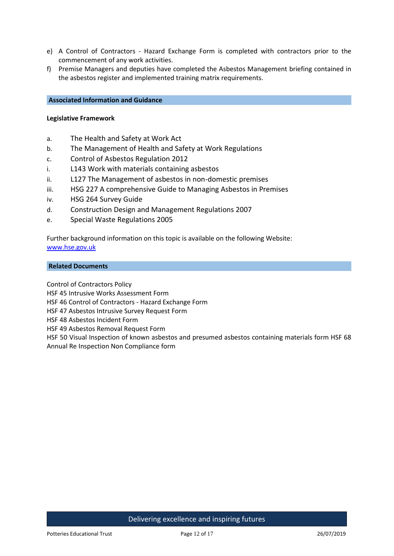- e) A Control of Contractors Hazard Exchange Form is completed with contractors prior to the commencement of any work activities.
- f) Premise Managers and deputies have completed the Asbestos Management briefing contained in the asbestos register and implemented training matrix requirements.

## **Associated Information and Guidance**

#### **Legislative Framework**

- a. The Health and Safety at Work Act
- b. The Management of Health and Safety at Work Regulations
- c. Control of Asbestos Regulation 2012
- i. L143 Work with materials containing asbestos
- ii. L127 The Management of asbestos in non-domestic premises
- iii. HSG 227 A comprehensive Guide to Managing Asbestos in Premises
- iv. HSG 264 Survey Guide
- d. Construction Design and Management Regulations 2007
- e. Special Waste Regulations 2005

Further background information on this topic is available on the following Website: [www.hse.gov.uk](http://www.hse.gov.uk/)

### **Related Documents**

Control of Contractors Policy

HSF 45 Intrusive Works Assessment Form

HSF 46 Control of Contractors - Hazard Exchange Form

HSF 47 Asbestos Intrusive Survey Request Form

HSF 48 Asbestos Incident Form

HSF 49 Asbestos Removal Request Form

HSF 50 Visual Inspection of known asbestos and presumed asbestos containing materials form HSF 68 Annual Re Inspection Non Compliance form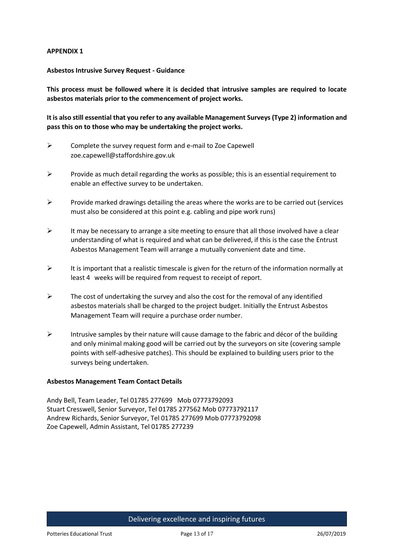## **APPENDIX 1**

## **Asbestos Intrusive Survey Request - Guidance**

**This process must be followed where it is decided that intrusive samples are required to locate asbestos materials prior to the commencement of project works.** 

**It is also still essential that you refer to any available Management Surveys (Type 2) information and pass this on to those who may be undertaking the project works.** 

- $\triangleright$  Complete the survey request form and e-mail to Zoe Capewell zoe.capewell@staffordshire.gov.uk
- $\triangleright$  Provide as much detail regarding the works as possible; this is an essential requirement to enable an effective survey to be undertaken.
- $\triangleright$  Provide marked drawings detailing the areas where the works are to be carried out (services must also be considered at this point e.g. cabling and pipe work runs)
- $\triangleright$  It may be necessary to arrange a site meeting to ensure that all those involved have a clear understanding of what is required and what can be delivered, if this is the case the Entrust Asbestos Management Team will arrange a mutually convenient date and time.
- $\triangleright$  It is important that a realistic timescale is given for the return of the information normally at least 4 weeks will be required from request to receipt of report.
- $\triangleright$  The cost of undertaking the survey and also the cost for the removal of any identified asbestos materials shall be charged to the project budget. Initially the Entrust Asbestos Management Team will require a purchase order number.
- $\triangleright$  Intrusive samples by their nature will cause damage to the fabric and décor of the building and only minimal making good will be carried out by the surveyors on site (covering sample points with self-adhesive patches). This should be explained to building users prior to the surveys being undertaken.

## **Asbestos Management Team Contact Details**

Andy Bell, Team Leader, Tel 01785 277699 Mob 07773792093 Stuart Cresswell, Senior Surveyor, Tel 01785 277562 Mob 07773792117 Andrew Richards, Senior Surveyor, Tel 01785 277699 Mob 07773792098 Zoe Capewell, Admin Assistant, Tel 01785 277239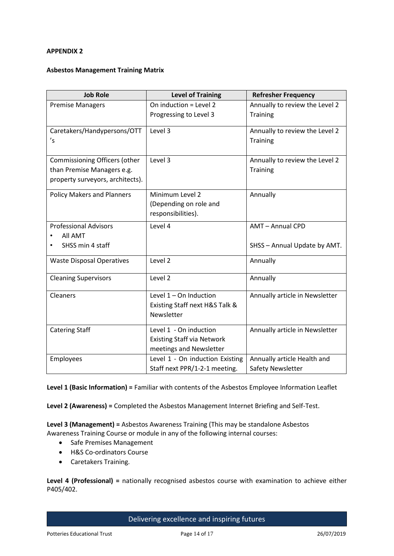## **APPENDIX 2**

## **Asbestos Management Training Matrix**

| <b>Job Role</b>                      | <b>Level of Training</b>          | <b>Refresher Frequency</b>     |
|--------------------------------------|-----------------------------------|--------------------------------|
| <b>Premise Managers</b>              | On induction = Level 2            | Annually to review the Level 2 |
|                                      | Progressing to Level 3            | <b>Training</b>                |
| Caretakers/Handypersons/OTT          | Level 3                           | Annually to review the Level 2 |
| 's                                   |                                   | <b>Training</b>                |
| <b>Commissioning Officers (other</b> | Level 3                           | Annually to review the Level 2 |
| than Premise Managers e.g.           |                                   | Training                       |
| property surveyors, architects).     |                                   |                                |
| <b>Policy Makers and Planners</b>    | Minimum Level 2                   | Annually                       |
|                                      | (Depending on role and            |                                |
|                                      | responsibilities).                |                                |
| <b>Professional Advisors</b>         | Level 4                           | AMT-Annual CPD                 |
| All AMT                              |                                   |                                |
| SHSS min 4 staff                     |                                   | SHSS - Annual Update by AMT.   |
| <b>Waste Disposal Operatives</b>     | Level 2                           | Annually                       |
| <b>Cleaning Supervisors</b>          | Level 2                           | Annually                       |
| Cleaners                             | Level $1 -$ On Induction          | Annually article in Newsletter |
|                                      | Existing Staff next H&S Talk &    |                                |
|                                      | Newsletter                        |                                |
| <b>Catering Staff</b>                | Level 1 - On induction            | Annually article in Newsletter |
|                                      | <b>Existing Staff via Network</b> |                                |
|                                      | meetings and Newsletter           |                                |
| Employees                            | Level 1 - On induction Existing   | Annually article Health and    |
|                                      | Staff next PPR/1-2-1 meeting.     | Safety Newsletter              |

**Level 1 (Basic Information) =** Familiar with contents of the Asbestos Employee Information Leaflet

**Level 2 (Awareness) =** Completed the Asbestos Management Internet Briefing and Self-Test.

**Level 3 (Management) =** Asbestos Awareness Training (This may be standalone Asbestos Awareness Training Course or module in any of the following internal courses:

- Safe Premises Management
- H&S Co-ordinators Course
- Caretakers Training.

**Level 4 (Professional) =** nationally recognised asbestos course with examination to achieve either P405/402.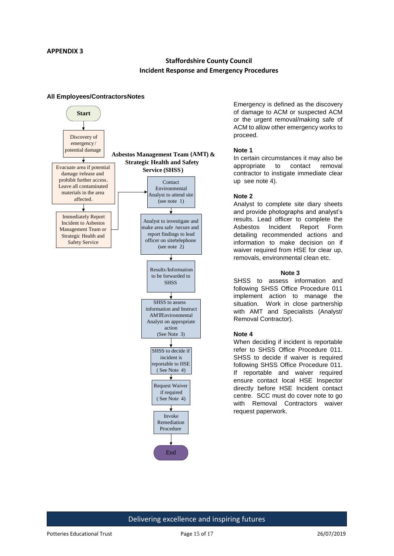## **Staffordshire County Council Incident Response and Emergency Procedures**

#### **All Employees/ContractorsNotes**



Emergency is defined as the discovery of damage to ACM or suspected ACM or the urgent removal/making safe of ACM to allow other emergency works to proceed.

#### **Note 1**

In certain circumstances it may also be appropriate to contact removal contractor to instigate immediate clear up see note 4).

#### **Note 2**

Analyst to complete site diary sheets and provide photographs and analyst's results. Lead officer to complete the Asbestos Incident Report Form detailing recommended actions and information to make decision on if waiver required from HSE for clear up. removals, environmental clean etc.

#### **Note 3**

SHSS to assess information and following SHSS Office Procedure 011 implement action to manage the situation. Work in close partnership with AMT and Specialists (Analyst/ Removal Contractor).

#### **Note 4**

When deciding if incident is reportable refer to SHSS Office Procedure 011. SHSS to decide if waiver is required following SHSS Office Procedure 011. If reportable and waiver required ensure contact local HSE Inspector directly before HSE Incident contact centre. SCC must do cover note to go with Removal Contractors waiver request paperwork.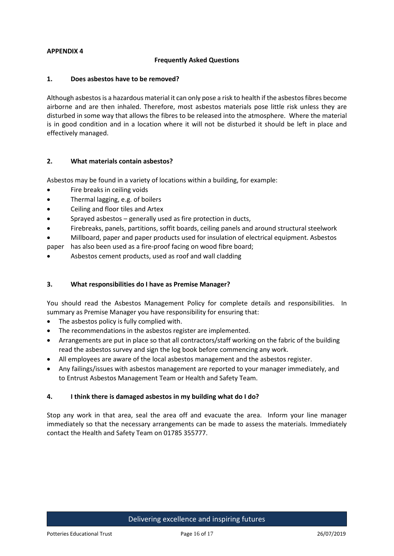## **APPENDIX 4**

## **Frequently Asked Questions**

## **1. Does asbestos have to be removed?**

Although asbestos is a hazardous material it can only pose a risk to health if the asbestos fibres become airborne and are then inhaled. Therefore, most asbestos materials pose little risk unless they are disturbed in some way that allows the fibres to be released into the atmosphere. Where the material is in good condition and in a location where it will not be disturbed it should be left in place and effectively managed.

## **2. What materials contain asbestos?**

Asbestos may be found in a variety of locations within a building, for example:

- Fire breaks in ceiling voids
- Thermal lagging, e.g. of boilers
- Ceiling and floor tiles and Artex
- Sprayed asbestos generally used as fire protection in ducts,
- Firebreaks, panels, partitions, soffit boards, ceiling panels and around structural steelwork
- Millboard, paper and paper products used for insulation of electrical equipment. Asbestos

paper has also been used as a fire-proof facing on wood fibre board;

Asbestos cement products, used as roof and wall cladding

## **3. What responsibilities do I have as Premise Manager?**

You should read the Asbestos Management Policy for complete details and responsibilities. In summary as Premise Manager you have responsibility for ensuring that:

- The asbestos policy is fully complied with.
- The recommendations in the asbestos register are implemented.
- Arrangements are put in place so that all contractors/staff working on the fabric of the building read the asbestos survey and sign the log book before commencing any work.
- All employees are aware of the local asbestos management and the asbestos register.
- Any failings/issues with asbestos management are reported to your manager immediately, and to Entrust Asbestos Management Team or Health and Safety Team.

## **4. I think there is damaged asbestos in my building what do I do?**

Stop any work in that area, seal the area off and evacuate the area. Inform your line manager immediately so that the necessary arrangements can be made to assess the materials. Immediately contact the Health and Safety Team on 01785 355777.